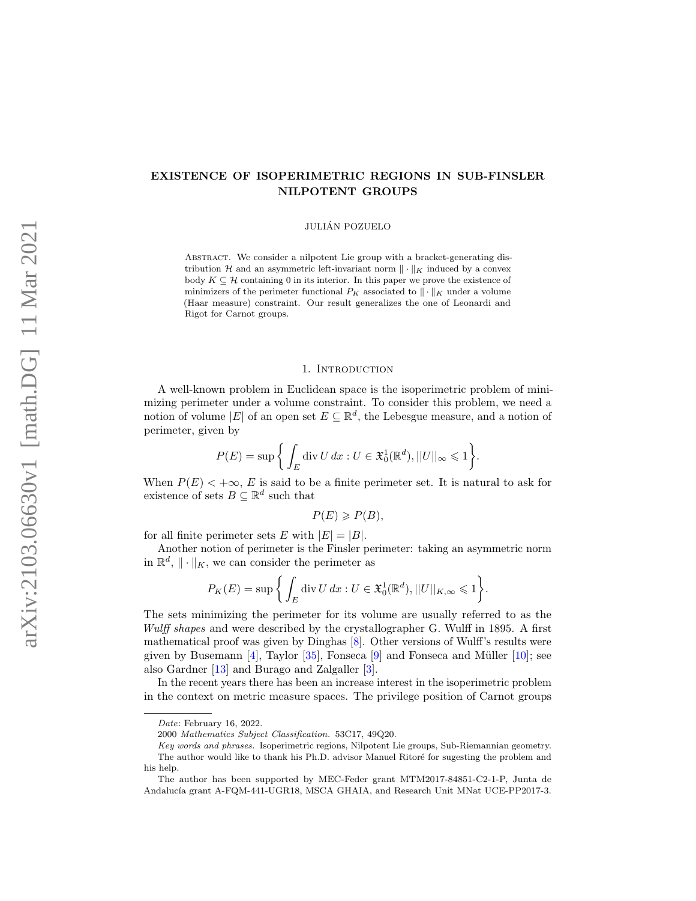# EXISTENCE OF ISOPERIMETRIC REGIONS IN SUB-FINSLER NILPOTENT GROUPS

JULIAN POZUELO ´

ABSTRACT. We consider a nilpotent Lie group with a bracket-generating distribution  $\mathcal H$  and an asymmetric left-invariant norm  $\|\cdot\|_K$  induced by a convex body  $K \subseteq \mathcal{H}$  containing 0 in its interior. In this paper we prove the existence of minimizers of the perimeter functional  $P_K$  associated to  $\|\cdot\|_K$  under a volume (Haar measure) constraint. Our result generalizes the one of Leonardi and Rigot for Carnot groups.

## 1. INTRODUCTION

A well-known problem in Euclidean space is the isoperimetric problem of minimizing perimeter under a volume constraint. To consider this problem, we need a notion of volume  $|E|$  of an open set  $E \subseteq \mathbb{R}^d$ , the Lebesgue measure, and a notion of perimeter, given by

$$
P(E) = \sup \left\{ \int_E \operatorname{div} U \, dx : U \in \mathfrak{X}_0^1(\mathbb{R}^d), ||U||_{\infty} \leq 1 \right\}.
$$

When  $P(E) < +\infty$ , E is said to be a finite perimeter set. It is natural to ask for existence of sets  $B \subseteq \mathbb{R}^d$  such that

$$
P(E) \geqslant P(B),
$$

for all finite perimeter sets E with  $|E| = |B|$ .

Another notion of perimeter is the Finsler perimeter: taking an asymmetric norm in  $\mathbb{R}^d$ ,  $\|\cdot\|_K$ , we can consider the perimeter as

$$
P_K(E) = \sup \bigg\{ \int_E \operatorname{div} U \, dx : U \in \mathfrak{X}_0^1(\mathbb{R}^d), ||U||_{K,\infty} \leq 1 \bigg\}.
$$

The sets minimizing the perimeter for its volume are usually referred to as the Wulff shapes and were described by the crystallographer G. Wulff in 1895. A first mathematical proof was given by Dinghas [\[8\]](#page-15-0). Other versions of Wulff's results were given by Busemann  $[4]$ , Taylor  $[35]$ , Fonseca  $[9]$  and Fonseca and Müller  $[10]$ ; see also Gardner [\[13\]](#page-15-4) and Burago and Zalgaller [\[3\]](#page-15-5).

In the recent years there has been an increase interest in the isoperimetric problem in the context on metric measure spaces. The privilege position of Carnot groups

Date: February 16, 2022.

<sup>2000</sup> Mathematics Subject Classification. 53C17, 49Q20.

Key words and phrases. Isoperimetric regions, Nilpotent Lie groups, Sub-Riemannian geometry. The author would like to thank his Ph.D. advisor Manuel Ritoré for sugesting the problem and his help.

The author has been supported by MEC-Feder grant MTM2017-84851-C2-1-P, Junta de Andalucía grant A-FQM-441-UGR18, MSCA GHAIA, and Research Unit MNat UCE-PP2017-3.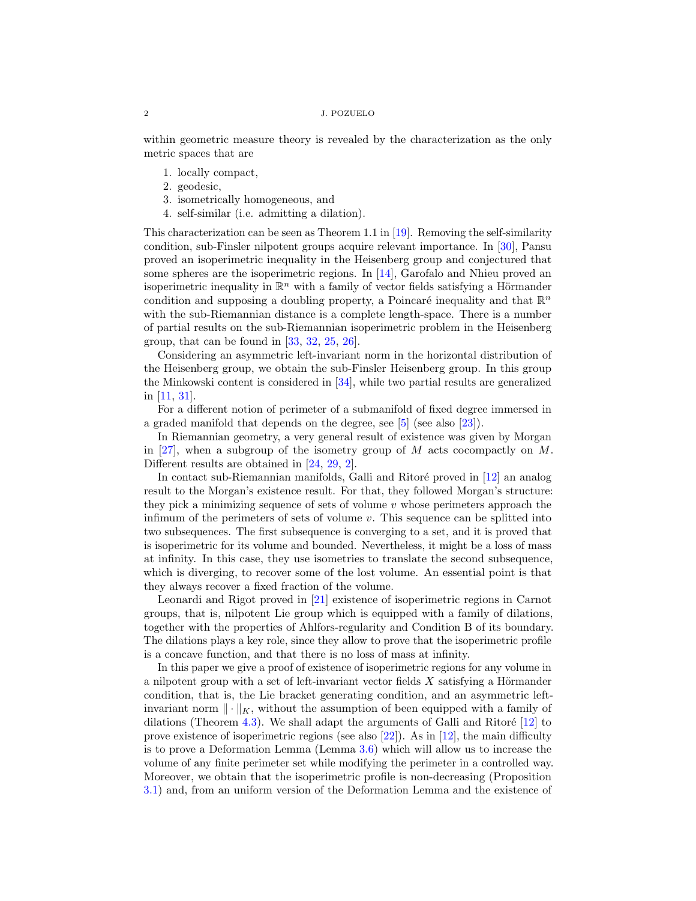#### 2 J. POZUELO

within geometric measure theory is revealed by the characterization as the only metric spaces that are

- 1. locally compact,
- 2. geodesic,
- 3. isometrically homogeneous, and
- 4. self-similar (i.e. admitting a dilation).

This characterization can be seen as Theorem 1.1 in  $[19]$ . Removing the self-similarity condition, sub-Finsler nilpotent groups acquire relevant importance. In [\[30\]](#page-16-2), Pansu proved an isoperimetric inequality in the Heisenberg group and conjectured that some spheres are the isoperimetric regions. In  $[14]$ , Garofalo and Nhieu proved an isoperimetric inequality in  $\mathbb{R}^n$  with a family of vector fields satisfying a Hörmander condition and supposing a doubling property, a Poincaré inequality and that  $\mathbb{R}^n$ with the sub-Riemannian distance is a complete length-space. There is a number of partial results on the sub-Riemannian isoperimetric problem in the Heisenberg group, that can be found in  $[33, 32, 25, 26]$  $[33, 32, 25, 26]$  $[33, 32, 25, 26]$  $[33, 32, 25, 26]$  $[33, 32, 25, 26]$  $[33, 32, 25, 26]$  $[33, 32, 25, 26]$ .

Considering an asymmetric left-invariant norm in the horizontal distribution of the Heisenberg group, we obtain the sub-Finsler Heisenberg group. In this group the Minkowski content is considered in [\[34\]](#page-16-8), while two partial results are generalized in [\[11,](#page-15-6) [31\]](#page-16-9).

For a different notion of perimeter of a submanifold of fixed degree immersed in a graded manifold that depends on the degree, see [\[5\]](#page-15-7) (see also [\[23\]](#page-16-10)).

In Riemannian geometry, a very general result of existence was given by Morgan in [\[27\]](#page-16-11), when a subgroup of the isometry group of  $M$  acts cocompactly on  $M$ . Different results are obtained in [\[24,](#page-16-12) [29,](#page-16-13) [2\]](#page-15-8).

In contact sub-Riemannian manifolds, Galli and Ritoré proved in  $[12]$  an analog result to the Morgan's existence result. For that, they followed Morgan's structure: they pick a minimizing sequence of sets of volume  $v$  whose perimeters approach the infimum of the perimeters of sets of volume v. This sequence can be splitted into two subsequences. The first subsequence is converging to a set, and it is proved that is isoperimetric for its volume and bounded. Nevertheless, it might be a loss of mass at infinity. In this case, they use isometries to translate the second subsequence, which is diverging, to recover some of the lost volume. An essential point is that they always recover a fixed fraction of the volume.

Leonardi and Rigot proved in [\[21\]](#page-16-14) existence of isoperimetric regions in Carnot groups, that is, nilpotent Lie group which is equipped with a family of dilations, together with the properties of Ahlfors-regularity and Condition B of its boundary. The dilations plays a key role, since they allow to prove that the isoperimetric profile is a concave function, and that there is no loss of mass at infinity.

In this paper we give a proof of existence of isoperimetric regions for any volume in a nilpotent group with a set of left-invariant vector fields  $X$  satisfying a Hörmander condition, that is, the Lie bracket generating condition, and an asymmetric leftinvariant norm  $\|\cdot\|_K$ , without the assumption of been equipped with a family of dilations (Theorem [4.3\)](#page-13-0). We shall adapt the arguments of Galli and Ritoré  $[12]$  to prove existence of isoperimetric regions (see also  $[22]$ ). As in  $[12]$ , the main difficulty is to prove a Deformation Lemma (Lemma [3.6\)](#page-8-0) which will allow us to increase the volume of any finite perimeter set while modifying the perimeter in a controlled way. Moreover, we obtain that the isoperimetric profile is non-decreasing (Proposition [3.1\)](#page-7-0) and, from an uniform version of the Deformation Lemma and the existence of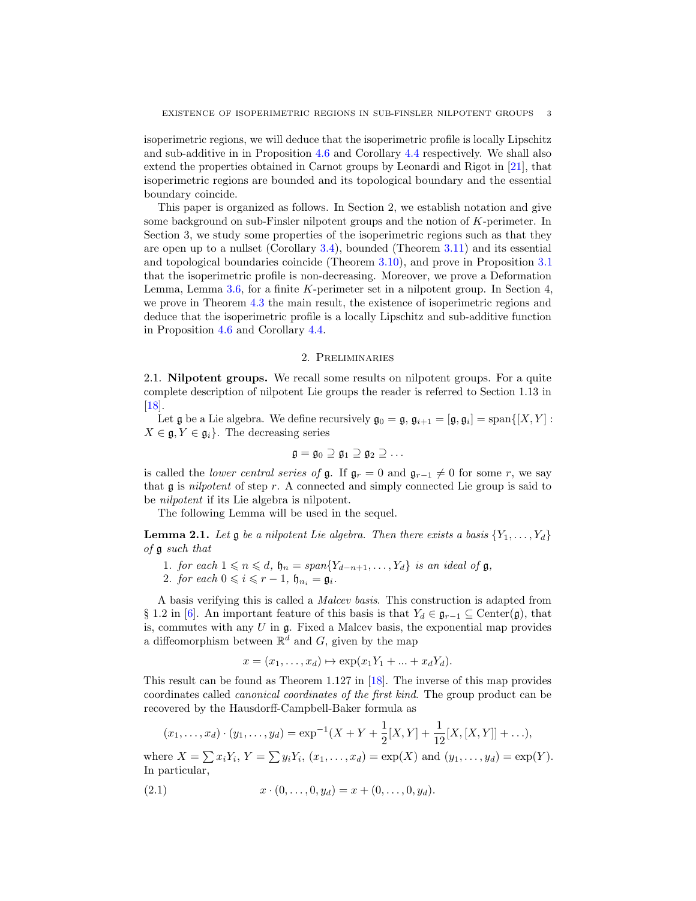isoperimetric regions, we will deduce that the isoperimetric profile is locally Lipschitz and sub-additive in in Proposition [4.6](#page-15-10) and Corollary [4.4](#page-14-0) respectively. We shall also extend the properties obtained in Carnot groups by Leonardi and Rigot in [\[21\]](#page-16-14), that isoperimetric regions are bounded and its topological boundary and the essential boundary coincide.

This paper is organized as follows. In Section 2, we establish notation and give some background on sub-Finsler nilpotent groups and the notion of K-perimeter. In Section 3, we study some properties of the isoperimetric regions such as that they are open up to a nullset (Corollary [3.4\)](#page-8-1), bounded (Theorem [3.11\)](#page-11-0) and its essential and topological boundaries coincide (Theorem [3.10\)](#page-11-1), and prove in Proposition [3.1](#page-7-0) that the isoperimetric profile is non-decreasing. Moreover, we prove a Deformation Lemma, Lemma [3.6,](#page-8-0) for a finite K-perimeter set in a nilpotent group. In Section 4, we prove in Theorem [4.3](#page-13-0) the main result, the existence of isoperimetric regions and deduce that the isoperimetric profile is a locally Lipschitz and sub-additive function in Proposition [4.6](#page-15-10) and Corollary [4.4.](#page-14-0)

# 2. Preliminaries

2.1. Nilpotent groups. We recall some results on nilpotent groups. For a quite complete description of nilpotent Lie groups the reader is referred to Section 1.13 in [\[18\]](#page-16-16).

Let  $\mathfrak g$  be a Lie algebra. We define recursively  $\mathfrak g_0 = \mathfrak g$ ,  $\mathfrak g_{i+1} = [\mathfrak g, \mathfrak g_i] = \text{span}\{[X, Y] :$  $X \in \mathfrak{g}, Y \in \mathfrak{g}_i$ . The decreasing series

$$
\mathfrak{g}=\mathfrak{g}_0\supseteq\mathfrak{g}_1\supseteq\mathfrak{g}_2\supseteq\ldots
$$

is called the *lower central series of*  $\mathfrak{g}$ . If  $\mathfrak{g}_r = 0$  and  $\mathfrak{g}_{r-1} \neq 0$  for some r, we say that  $\mathfrak g$  is nilpotent of step r. A connected and simply connected Lie group is said to be nilpotent if its Lie algebra is nilpotent.

The following Lemma will be used in the sequel.

**Lemma 2.1.** Let  $\mathfrak{g}$  be a nilpotent Lie algebra. Then there exists a basis  $\{Y_1, \ldots, Y_d\}$ of g such that

- 1. for each  $1 \leq n \leq d$ ,  $\mathfrak{h}_n = span{Y_{d-n+1}, \ldots, Y_d}$  is an ideal of  $\mathfrak{g}$ ,
- 2. for each  $0 \leq i \leq r-1$ ,  $\mathfrak{h}_{n_i} = \mathfrak{g}_i$ .

A basis verifying this is called a Malcev basis. This construction is adapted from § 1.2 in [\[6\]](#page-15-11). An important feature of this basis is that  $Y_d \in \mathfrak{g}_{r-1} \subseteq \text{Center}(\mathfrak{g})$ , that is, commutes with any  $U$  in  $\mathfrak{g}$ . Fixed a Malcev basis, the exponential map provides a diffeomorphism between  $\mathbb{R}^d$  and G, given by the map

$$
x = (x_1, \dots, x_d) \mapsto \exp(x_1 Y_1 + \dots + x_d Y_d).
$$

This result can be found as Theorem 1.127 in [\[18\]](#page-16-16). The inverse of this map provides coordinates called canonical coordinates of the first kind. The group product can be recovered by the Hausdorff-Campbell-Baker formula as

$$
(x_1, ..., x_d) \cdot (y_1, ..., y_d) = \exp^{-1}(X + Y + \frac{1}{2}[X, Y] + \frac{1}{12}[X, [X, Y]] + ...),
$$

where  $X = \sum x_i Y_i$ ,  $Y = \sum y_i Y_i$ ,  $(x_1, ..., x_d) = \exp(X)$  and  $(y_1, ..., y_d) = \exp(Y)$ . In particular,

<span id="page-2-0"></span>(2.1) 
$$
x \cdot (0, \ldots, 0, y_d) = x + (0, \ldots, 0, y_d).
$$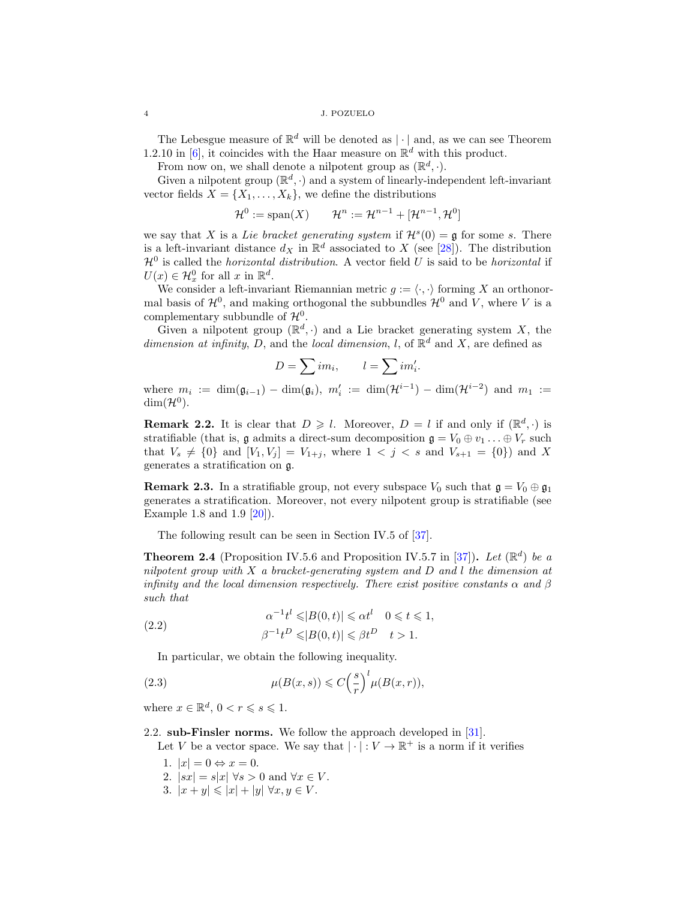### 4 J. POZUELO

The Lebesgue measure of  $\mathbb{R}^d$  will be denoted as  $|\cdot|$  and, as we can see Theorem 1.2.10 in [\[6\]](#page-15-11), it coincides with the Haar measure on  $\mathbb{R}^d$  with this product.

From now on, we shall denote a nilpotent group as  $(\mathbb{R}^d, \cdot)$ .

Given a nilpotent group  $(\mathbb{R}^d, \cdot)$  and a system of linearly-independent left-invariant vector fields  $\bar{X} = \{X_1, \ldots, X_k\}$ , we define the distributions

$$
\mathcal{H}^0 := \text{span}(X) \qquad \mathcal{H}^n := \mathcal{H}^{n-1} + [\mathcal{H}^{n-1}, \mathcal{H}^0]
$$

we say that X is a Lie bracket generating system if  $\mathcal{H}^s(0) = \mathfrak{g}$  for some s. There is a left-invariant distance  $d_X$  in  $\mathbb{R}^d$  associated to X (see [\[28\]](#page-16-17)). The distribution  $\mathcal{H}^0$  is called the *horizontal distribution*. A vector field U is said to be *horizontal* if  $U(x) \in \mathcal{H}_x^0$  for all  $x$  in  $\mathbb{R}^d$ .

We consider a left-invariant Riemannian metric  $q := \langle \cdot, \cdot \rangle$  forming X an orthonormal basis of  $\mathcal{H}^0$ , and making orthogonal the subbundles  $\mathcal{H}^0$  and V, where V is a complementary subbundle of  $\mathcal{H}^0$ .

Given a nilpotent group  $(\mathbb{R}^d, \cdot)$  and a Lie bracket generating system X, the dimension at infinity, D, and the local dimension, l, of  $\mathbb{R}^d$  and X, are defined as

$$
D = \sum im_i, \qquad l = \sum im'_i.
$$

where  $m_i := \dim(\mathfrak{g}_{i-1}) - \dim(\mathfrak{g}_i)$ ,  $m'_i := \dim(\mathcal{H}^{i-1}) - \dim(\mathcal{H}^{i-2})$  and  $m_1 :=$  $\dim(\mathcal{H}^0)$ .

**Remark 2.2.** It is clear that  $D \geq l$ . Moreover,  $D = l$  if and only if  $(\mathbb{R}^d, \cdot)$  is stratifiable (that is, g admits a direct-sum decomposition  $\mathfrak{g} = V_0 \oplus v_1 \dots \oplus V_r$  such that  $V_s \neq \{0\}$  and  $[V_1, V_j] = V_{1+j}$ , where  $1 < j < s$  and  $V_{s+1} = \{0\}$  and X generates a stratification on g.

**Remark 2.3.** In a stratifiable group, not every subspace  $V_0$  such that  $\mathfrak{g} = V_0 \oplus \mathfrak{g}_1$ generates a stratification. Moreover, not every nilpotent group is stratifiable (see Example 1.8 and 1.9 [\[20\]](#page-16-18)).

The following result can be seen in Section IV.5 of [\[37\]](#page-16-19).

**Theorem 2.4** (Proposition IV.5.6 and Proposition IV.5.7 in [\[37\]](#page-16-19)). Let  $(\mathbb{R}^d)$  be a nilpotent group with  $X$  a bracket-generating system and  $D$  and  $l$  the dimension at infinity and the local dimension respectively. There exist positive constants  $\alpha$  and  $\beta$ such that

(2.2) 
$$
\alpha^{-1}t^{l} \leq |B(0,t)| \leq \alpha t^{l} \quad 0 \leq t \leq 1,
$$

$$
\beta^{-1}t^{D} \leq |B(0,t)| \leq \beta t^{D} \quad t > 1.
$$

<span id="page-3-0"></span>In particular, we obtain the following inequality.

(2.3) 
$$
\mu(B(x,s)) \leqslant C\left(\frac{s}{r}\right)^l \mu(B(x,r)),
$$

where  $x \in \mathbb{R}^d$ ,  $0 < r \leq s \leq 1$ .

2.2. sub-Finsler norms. We follow the approach developed in [\[31\]](#page-16-9).

Let V be a vector space. We say that  $|\cdot|: V \to \mathbb{R}^+$  is a norm if it verifies

- 1.  $|x| = 0 \Leftrightarrow x = 0$ .
- 2.  $|sx| = s|x| \forall s > 0$  and  $\forall x \in V$ .
- 3.  $|x+y| \leq |x| + |y| \forall x, y \in V$ .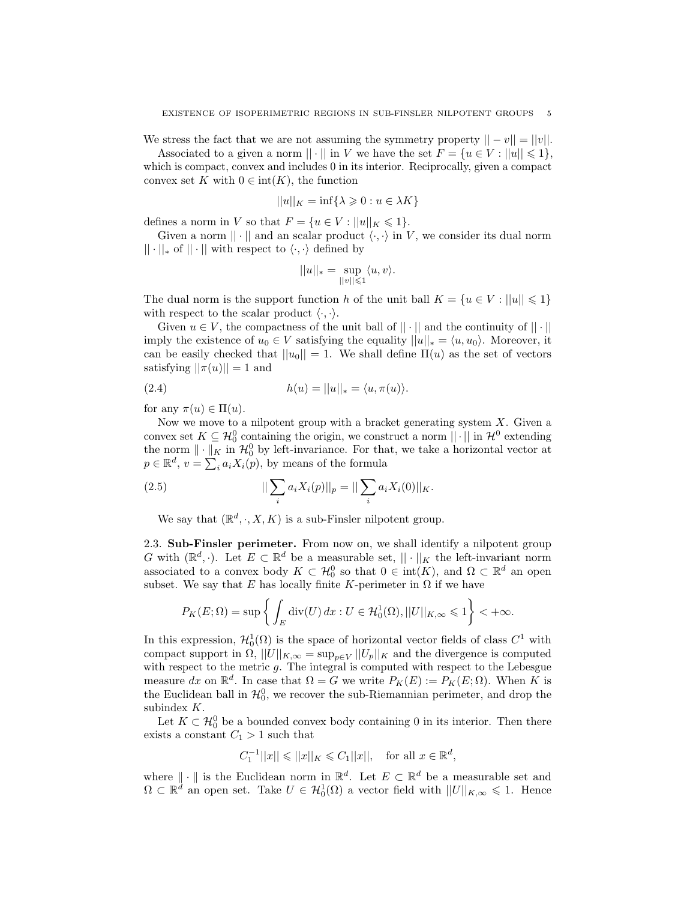We stress the fact that we are not assuming the symmetry property  $||-v|| = ||v||$ .

Associated to a given a norm  $|| \cdot ||$  in V we have the set  $F = \{u \in V : ||u|| \leq 1\},\$ which is compact, convex and includes 0 in its interior. Reciprocally, given a compact convex set K with  $0 \in \text{int}(K)$ , the function

$$
||u||_K = \inf\{\lambda \geq 0 : u \in \lambda K\}
$$

defines a norm in V so that  $F = \{u \in V : ||u||_K \leq 1\}.$ 

Given a norm  $\|\cdot\|$  and an scalar product  $\langle \cdot, \cdot \rangle$  in V, we consider its dual norm  $|| \cdot ||_*$  of  $|| \cdot ||$  with respect to  $\langle \cdot, \cdot \rangle$  defined by

<span id="page-4-0"></span>
$$
||u||_* = \sup_{||v|| \leq 1} \langle u, v \rangle.
$$

The dual norm is the support function h of the unit ball  $K = \{u \in V : ||u|| \leq 1\}$ with respect to the scalar product  $\langle \cdot, \cdot \rangle$ .

Given  $u \in V$ , the compactness of the unit ball of  $|| \cdot ||$  and the continuity of  $|| \cdot ||$ imply the existence of  $u_0 \in V$  satisfying the equality  $||u||_* = \langle u, u_0 \rangle$ . Moreover, it can be easily checked that  $||u_0|| = 1$ . We shall define  $\Pi(u)$  as the set of vectors satisfying  $||\pi(u)|| = 1$  and

(2.4) 
$$
h(u) = ||u||_* = \langle u, \pi(u) \rangle.
$$

for any  $\pi(u) \in \Pi(u)$ .

Now we move to a nilpotent group with a bracket generating system  $X$ . Given a convex set  $K \subseteq \mathcal{H}_0^0$  containing the origin, we construct a norm  $|| \cdot ||$  in  $\mathcal{H}^0$  extending the norm  $\|\cdot\|_K$  in  $\mathcal{H}_0^0$  by left-invariance. For that, we take a horizontal vector at  $p \in \mathbb{R}^d$ ,  $v = \sum_i a_i X_i(p)$ , by means of the formula

(2.5) 
$$
||\sum_{i} a_{i} X_{i}(p)||_{p} = ||\sum_{i} a_{i} X_{i}(0)||_{K}.
$$

We say that  $(\mathbb{R}^d, \cdot, X, K)$  is a sub-Finsler nilpotent group.

2.3. Sub-Finsler perimeter. From now on, we shall identify a nilpotent group G with  $(\mathbb{R}^d, \cdot)$ . Let  $E \subset \mathbb{R}^d$  be a measurable set,  $|| \cdot ||_K$  the left-invariant norm associated to a convex body  $K \subset \mathcal{H}_0^0$  so that  $0 \in \text{int}(K)$ , and  $\Omega \subset \mathbb{R}^d$  an open subset. We say that E has locally finite K-perimeter in  $\Omega$  if we have

$$
P_K(E; \Omega) = \sup \left\{ \int_E \text{div}(U) \, dx : U \in \mathcal{H}_0^1(\Omega), ||U||_{K, \infty} \leq 1 \right\} < +\infty.
$$

In this expression,  $\mathcal{H}_0^1(\Omega)$  is the space of horizontal vector fields of class  $C^1$  with compact support in  $\Omega$ ,  $||U||_{K,\infty} = \sup_{p \in V} ||U_p||_K$  and the divergence is computed with respect to the metric  $g$ . The integral is computed with respect to the Lebesgue measure dx on  $\mathbb{R}^d$ . In case that  $\Omega = G$  we write  $P_K(E) := P_K(E; \Omega)$ . When K is the Euclidean ball in  $\mathcal{H}_0^0$ , we recover the sub-Riemannian perimeter, and drop the subindex K.

Let  $K \subset \mathcal{H}_0^0$  be a bounded convex body containing 0 in its interior. Then there exists a constant  $C_1 > 1$  such that

$$
C_1^{-1}||x|| \le ||x||_K \le C_1||x||
$$
, for all  $x \in \mathbb{R}^d$ ,

where  $\|\cdot\|$  is the Euclidean norm in  $\mathbb{R}^d$ . Let  $E \subset \mathbb{R}^d$  be a measurable set and  $\Omega \subset \mathbb{R}^d$  an open set. Take  $U \in \mathcal{H}_0^1(\Omega)$  a vector field with  $||U||_{K,\infty} \leq 1$ . Hence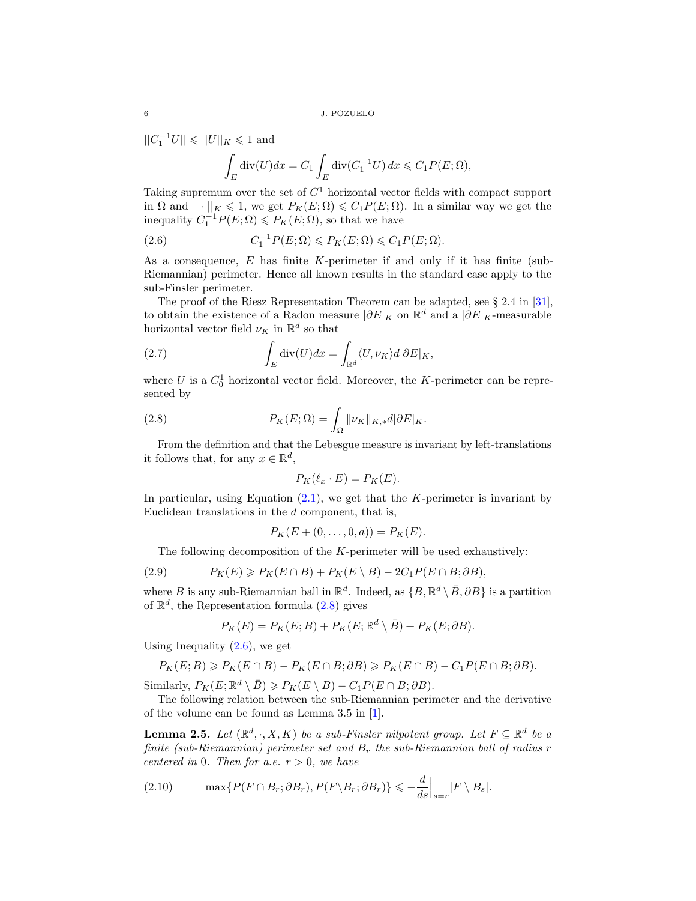$||C_1^{-1}U|| \leqslant ||U||_K \leqslant 1$  and

<span id="page-5-1"></span>
$$
\int_{E} \operatorname{div}(U) dx = C_1 \int_{E} \operatorname{div}(C_1^{-1}U) dx \leqslant C_1 P(E; \Omega),
$$

Taking supremum over the set of  $C<sup>1</sup>$  horizontal vector fields with compact support in  $\Omega$  and  $\|\cdot\|_K \leq 1$ , we get  $P_K(E; \Omega) \leq C_1 P(E; \Omega)$ . In a similar way we get the inequality  $C_1^{-1}P(E; \Omega) \leq P_K(E; \Omega)$ , so that we have

(2.6) 
$$
C_1^{-1}P(E;\Omega) \leqslant P_K(E;\Omega) \leqslant C_1P(E;\Omega).
$$

As a consequence,  $E$  has finite K-perimeter if and only if it has finite (sub-Riemannian) perimeter. Hence all known results in the standard case apply to the sub-Finsler perimeter.

The proof of the Riesz Representation Theorem can be adapted, see § 2.4 in [\[31\]](#page-16-9), to obtain the existence of a Radon measure  $|\partial E|_K$  on  $\mathbb{R}^d$  and a  $|\partial E|_K$ -measurable horizontal vector field  $\nu_K$  in  $\mathbb{R}^d$  so that

<span id="page-5-2"></span>(2.7) 
$$
\int_{E} \operatorname{div}(U) dx = \int_{\mathbb{R}^d} \langle U, \nu_K \rangle d|\partial E|_K,
$$

where  $U$  is a  $C_0^1$  horizontal vector field. Moreover, the K-perimeter can be represented by

(2.8) 
$$
P_K(E; \Omega) = \int_{\Omega} ||\nu_K||_{K, *} d|\partial E|_{K}.
$$

From the definition and that the Lebesgue measure is invariant by left-translations it follows that, for any  $x \in \mathbb{R}^d$ ,

<span id="page-5-0"></span>
$$
P_K(\ell_x \cdot E) = P_K(E).
$$

In particular, using Equation  $(2.1)$ , we get that the K-perimeter is invariant by Euclidean translations in the  $d$  component, that is,

$$
P_K(E + (0, \ldots, 0, a)) = P_K(E).
$$

<span id="page-5-4"></span>The following decomposition of the  $K$ -perimeter will be used exhaustively:

(2.9) 
$$
P_K(E) \geqslant P_K(E \cap B) + P_K(E \setminus B) - 2C_1 P(E \cap B; \partial B),
$$

where B is any sub-Riemannian ball in  $\mathbb{R}^d$ . Indeed, as  $\{B, \mathbb{R}^d \setminus \bar{B}, \partial B\}$  is a partition of  $\mathbb{R}^d$ , the Representation formula  $(2.8)$  gives

$$
P_K(E) = P_K(E; B) + P_K(E; \mathbb{R}^d \setminus \overline{B}) + P_K(E; \partial B).
$$

Using Inequality  $(2.6)$ , we get

$$
P_K(E;B) \geqslant P_K(E \cap B) - P_K(E \cap B; \partial B) \geqslant P_K(E \cap B) - C_1 P(E \cap B; \partial B).
$$

Similarly,  $P_K(E; \mathbb{R}^d \setminus \overline{B}) \geqslant P_K(E \setminus B) - C_1 P(E \cap B; \partial B).$ 

The following relation between the sub-Riemannian perimeter and the derivative of the volume can be found as Lemma 3.5 in [\[1\]](#page-15-12).

**Lemma 2.5.** Let  $(\mathbb{R}^d, \cdot, X, K)$  be a sub-Finsler nilpotent group. Let  $F \subseteq \mathbb{R}^d$  be a finite (sub-Riemannian) perimeter set and  $B_r$  the sub-Riemannian ball of radius r centered in 0. Then for a.e.  $r > 0$ , we have

<span id="page-5-3"></span>(2.10) 
$$
\max\{P(F \cap B_r; \partial B_r), P(F \setminus B_r; \partial B_r)\} \leqslant -\frac{d}{ds}\Big|_{s=r} |F \setminus B_s|.
$$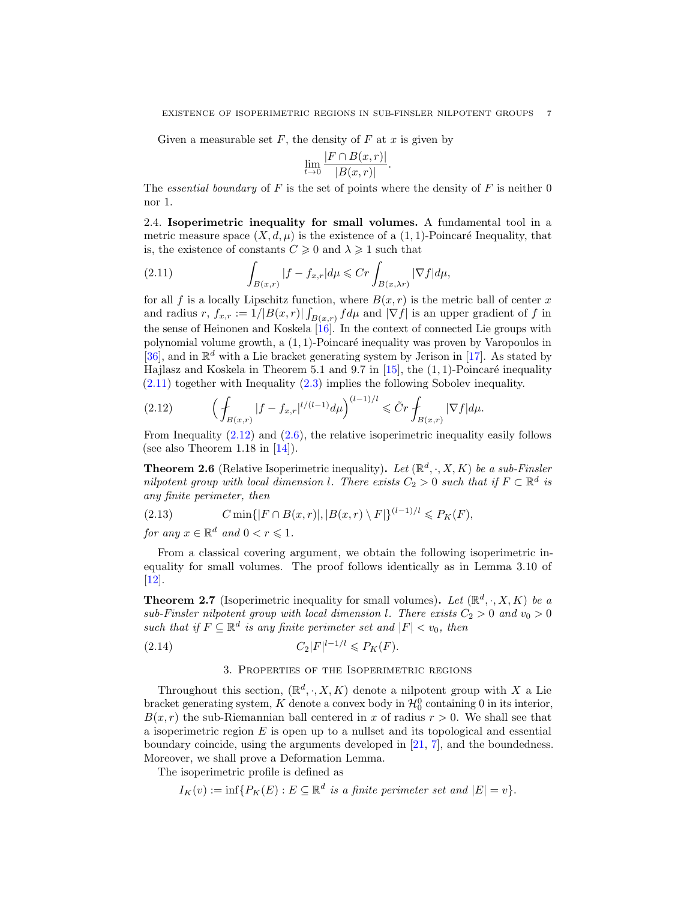.

Given a measurable set  $F$ , the density of  $F$  at  $x$  is given by

$$
\lim_{t \to 0} \frac{|F \cap B(x, r)|}{|B(x, r)|}
$$

The essential boundary of F is the set of points where the density of F is neither  $0$ nor 1.

2.4. Isoperimetric inequality for small volumes. A fundamental tool in a metric measure space  $(X, d, \mu)$  is the existence of a  $(1, 1)$ -Poincaré Inequality, that is, the existence of constants  $C \geq 0$  and  $\lambda \geq 1$  such that

<span id="page-6-0"></span>(2.11) 
$$
\int_{B(x,r)} |f - f_{x,r}| d\mu \leq Cr \int_{B(x,\lambda r)} |\nabla f| d\mu,
$$

for all f is a locally Lipschitz function, where  $B(x, r)$  is the metric ball of center x and radius r,  $f_{x,r} := 1/|B(x,r)| \int_{B(x,r)} f d\mu$  and  $|\nabla f|$  is an upper gradient of f in the sense of Heinonen and Koskela  $\left| \overline{16} \right|$ . In the context of connected Lie groups with polynomial volume growth, a  $(1, 1)$ -Poincaré inequality was proven by Varopoulos in [\[36\]](#page-16-21), and in  $\mathbb{R}^d$  with a Lie bracket generating system by Jerison in [\[17\]](#page-16-22). As stated by Hajlasz and Koskela in Theorem 5.1 and 9.7 in  $[15]$ , the  $(1, 1)$ -Poincaré inequality [\(2.11\)](#page-6-0) together with Inequality [\(2.3\)](#page-3-0) implies the following Sobolev inequality.

<span id="page-6-1"></span>(2.12) 
$$
\left(\int_{B(x,r)}|f-f_{x,r}|^{l/(l-1)}d\mu\right)^{(l-1)/l} \leq \tilde{C}r \int_{B(x,r)}|\nabla f|d\mu.
$$

From Inequality  $(2.12)$  and  $(2.6)$ , the relative isoperimetric inequality easily follows (see also Theorem 1.18 in  $[14]$ ).

**Theorem 2.6** (Relative Isoperimetric inequality). Let  $(\mathbb{R}^d, \cdot, X, K)$  be a sub-Finsler nilpotent group with local dimension l. There exists  $C_2 > 0$  such that if  $F \subset \mathbb{R}^d$  is any finite perimeter, then

(2.13) 
$$
C \min\{|F \cap B(x,r)|, |B(x,r) \setminus F|\}^{(l-1)/l} \leq P_K(F),
$$

for any  $x \in \mathbb{R}^d$  and  $0 < r \leqslant 1$ .

From a classical covering argument, we obtain the following isoperimetric inequality for small volumes. The proof follows identically as in Lemma 3.10 of [\[12\]](#page-15-9).

<span id="page-6-3"></span>**Theorem 2.7** (Isoperimetric inequality for small volumes). Let  $(\mathbb{R}^d, \cdot, X, K)$  be a sub-Finsler nilpotent group with local dimension l. There exists  $C_2 > 0$  and  $v_0 > 0$ such that if  $F \subseteq \mathbb{R}^d$  is any finite perimeter set and  $|F| < v_0$ , then

(2.14) 
$$
C_2|F|^{l-1/l} \leq P_K(F).
$$

# <span id="page-6-2"></span>3. Properties of the Isoperimetric regions

Throughout this section,  $(\mathbb{R}^d, \cdot, X, K)$  denote a nilpotent group with X a Lie bracket generating system, K denote a convex body in  $\mathcal{H}_0^0$  containing 0 in its interior,  $B(x, r)$  the sub-Riemannian ball centered in x of radius  $r > 0$ . We shall see that a isoperimetric region  $E$  is open up to a nullset and its topological and essential boundary coincide, using the arguments developed in [\[21,](#page-16-14) [7\]](#page-15-13), and the boundedness. Moreover, we shall prove a Deformation Lemma.

The isoperimetric profile is defined as

$$
I_K(v) := \inf \{ P_K(E) : E \subseteq \mathbb{R}^d \text{ is a finite perimeter set and } |E| = v \}.
$$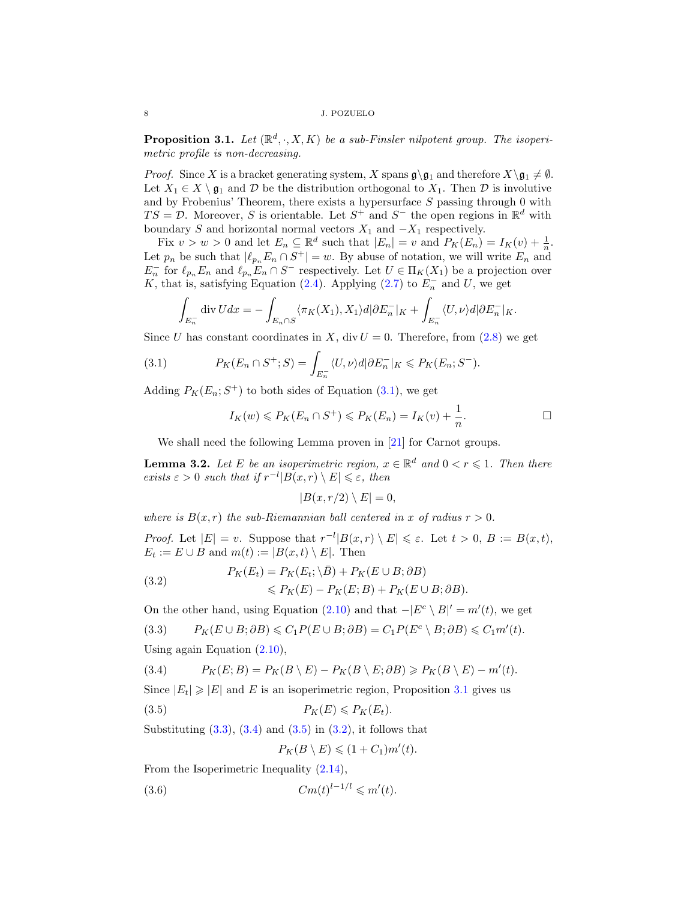<span id="page-7-0"></span>**Proposition 3.1.** Let  $(\mathbb{R}^d, \cdot, X, K)$  be a sub-Finsler nilpotent group. The isoperimetric profile is non-decreasing.

*Proof.* Since X is a bracket generating system, X spans  $\mathfrak{g} \gtrsim_1$  and therefore  $X \gtrsim_1 \neq \emptyset$ . Let  $X_1 \in X \setminus \mathfrak{g}_1$  and  $D$  be the distribution orthogonal to  $X_1$ . Then  $D$  is involutive and by Frobenius' Theorem, there exists a hypersurface  $S$  passing through 0 with  $TS = \mathcal{D}$ . Moreover, S is orientable. Let  $S^+$  and  $S^-$  the open regions in  $\mathbb{R}^d$  with boundary S and horizontal normal vectors  $X_1$  and  $-X_1$  respectively.

Fix  $v > w > 0$  and let  $E_n \subseteq \mathbb{R}^d$  such that  $|E_n| = v$  and  $P_K(E_n) = I_K(v) + \frac{1}{n}$ . Let  $p_n$  be such that  $|\ell_{p_n} E_n \cap S^+| = w$ . By abuse of notation, we will write  $E_n$  and  $E_n^-$  for  $\ell_{p_n} E_n$  and  $\ell_{p_n} E_n \cap S^-$  respectively. Let  $U \in \Pi_K(X_1)$  be a projection over K, that is, satisfying Equation [\(2.4\)](#page-4-0). Applying [\(2.7\)](#page-5-2) to  $E_n^-$  and U, we get

$$
\int_{E_n^-} \operatorname{div} U dx = - \int_{E_n \cap S} \langle \pi_K(X_1), X_1 \rangle d|\partial E_n^-|_K + \int_{E_n^-} \langle U, \nu \rangle d|\partial E_n^-|_K.
$$

Since U has constant coordinates in X, div  $U = 0$ . Therefore, from [\(2.8\)](#page-5-0) we get

(3.1) 
$$
P_K(E_n \cap S^+; S) = \int_{E_n} \langle U, \nu \rangle d|\partial E_n^-|_K \leqslant P_K(E_n; S^-).
$$

Adding  $P_K(E_n; S^+)$  to both sides of Equation [\(3.1\)](#page-7-1), we get

$$
I_K(w) \leqslant P_K(E_n \cap S^+) \leqslant P_K(E_n) = I_K(v) + \frac{1}{n}.
$$

We shall need the following Lemma proven in [\[21\]](#page-16-14) for Carnot groups.

<span id="page-7-7"></span>**Lemma 3.2.** Let E be an isoperimetric region,  $x \in \mathbb{R}^d$  and  $0 < r \leq 1$ . Then there exists  $\varepsilon > 0$  such that if  $r^{-l}|B(x,r) \setminus E| \leqslant \varepsilon$ , then

$$
|B(x,r/2) \setminus E| = 0,
$$

where is  $B(x, r)$  the sub-Riemannian ball centered in x of radius  $r > 0$ .

*Proof.* Let  $|E| = v$ . Suppose that  $r^{-l}|B(x,r) \setminus E| \leq \varepsilon$ . Let  $t > 0$ ,  $B := B(x,t)$ ,  $E_t := E \cup B$  and  $m(t) := |B(x,t) \setminus E|$ . Then

<span id="page-7-5"></span>(3.2) 
$$
P_K(E_t) = P_K(E_t; \overline{\lambda} \overline{B}) + P_K(E \cup B; \partial B)
$$

$$
\leq P_K(E) - P_K(E; B) + P_K(E \cup B; \partial B).
$$

On the other hand, using Equation  $(2.10)$  and that  $-|E^c \setminus B|' = m'(t)$ , we get

<span id="page-7-2"></span>
$$
(3.3) \qquad P_K(E \cup B; \partial B) \leqslant C_1 P(E \cup B; \partial B) = C_1 P(E^c \setminus B; \partial B) \leqslant C_1 m'(t).
$$

Using again Equation [\(2.10\)](#page-5-3),

<span id="page-7-3"></span>(3.4) 
$$
P_K(E;B) = P_K(B \setminus E) - P_K(B \setminus E; \partial B) \ge P_K(B \setminus E) - m'(t).
$$

Since  $|E_t| \geq |E|$  and E is an isoperimetric region, Proposition [3.1](#page-7-0) gives us

$$
(3.5) \t\t\t P_K(E) \leqslant P_K(E_t).
$$

Substituting  $(3.3)$ ,  $(3.4)$  and  $(3.5)$  in  $(3.2)$ , it follows that

<span id="page-7-6"></span><span id="page-7-4"></span>
$$
P_K(B \setminus E) \leqslant (1 + C_1)m'(t).
$$

From the Isoperimetric Inequality [\(2.14\)](#page-6-2),

$$
(3.6) \t\t\t Cm(t)^{l-1/l} \leqslant m'(t).
$$

<span id="page-7-1"></span> $\overline{a}$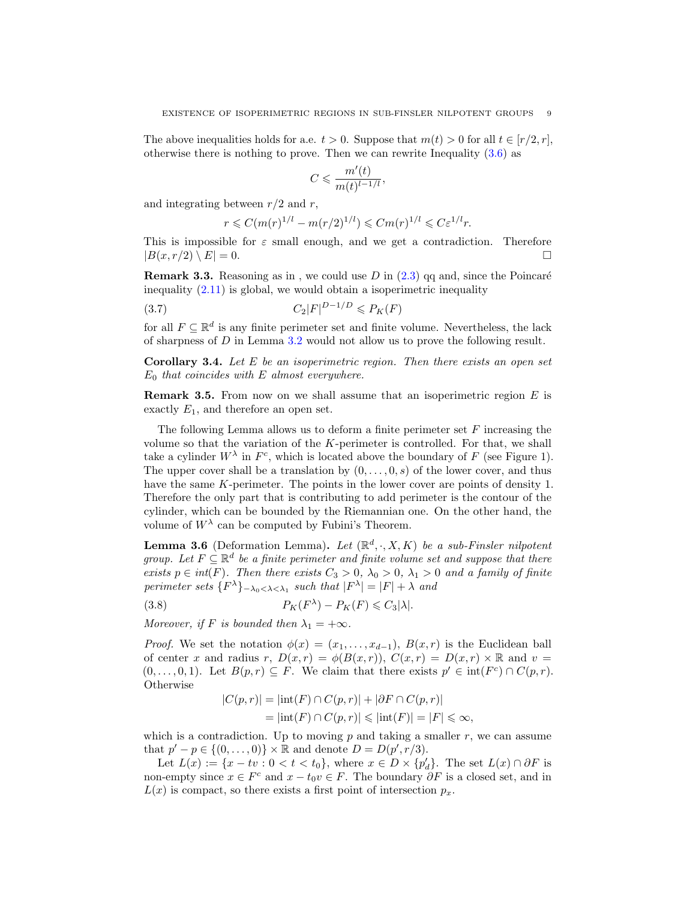The above inequalities holds for a.e.  $t > 0$ . Suppose that  $m(t) > 0$  for all  $t \in [r/2, r]$ , otherwise there is nothing to prove. Then we can rewrite Inequality [\(3.6\)](#page-7-6) as

$$
C \leqslant \frac{m'(t)}{m(t)^{l-1/l}},
$$

and integrating between  $r/2$  and r,

$$
r \leq C(m(r)^{1/l} - m(r/2)^{1/l}) \leq Cm(r)^{1/l} \leq C\varepsilon^{1/l}r.
$$

This is impossible for  $\varepsilon$  small enough, and we get a contradiction. Therefore  $|B(x, r/2) \setminus E| = 0.$ 

**Remark 3.3.** Reasoning as in, we could use  $D$  in  $(2.3)$  qq and, since the Poincaré inequality  $(2.11)$  is global, we would obtain a isoperimetric inequality

$$
(3.7) \tC_2|F|^{D-1/D} \leqslant P_K(F)
$$

for all  $F \subseteq \mathbb{R}^d$  is any finite perimeter set and finite volume. Nevertheless, the lack of sharpness of D in Lemma [3.2](#page-7-7) would not allow us to prove the following result.

<span id="page-8-1"></span>**Corollary 3.4.** Let  $E$  be an isoperimetric region. Then there exists an open set  $E_0$  that coincides with E almost everywhere.

<span id="page-8-3"></span>**Remark 3.5.** From now on we shall assume that an isoperimetric region  $E$  is exactly  $E_1$ , and therefore an open set.

The following Lemma allows us to deform a finite perimeter set  $F$  increasing the volume so that the variation of the K-perimeter is controlled. For that, we shall take a cylinder  $W^{\lambda}$  in  $F^{c}$ , which is located above the boundary of F (see Figure 1). The upper cover shall be a translation by  $(0, \ldots, 0, s)$  of the lower cover, and thus have the same K-perimeter. The points in the lower cover are points of density 1. Therefore the only part that is contributing to add perimeter is the contour of the cylinder, which can be bounded by the Riemannian one. On the other hand, the volume of  $W^{\lambda}$  can be computed by Fubini's Theorem.

<span id="page-8-0"></span>**Lemma 3.6** (Deformation Lemma). Let  $(\mathbb{R}^d, \cdot, X, K)$  be a sub-Finsler nilpotent group. Let  $F \subseteq \mathbb{R}^d$  be a finite perimeter and finite volume set and suppose that there exists  $p \in int(F)$ . Then there exists  $C_3 > 0$ ,  $\lambda_0 > 0$ ,  $\lambda_1 > 0$  and a family of finite perimeter sets  ${F^{\lambda}}$  $_{-\lambda_0<\lambda<\lambda_1}$  such that  $|F^{\lambda}| = |F| + \lambda$  and

(3.8) 
$$
P_K(F^{\lambda}) - P_K(F) \leq C_3 |\lambda|.
$$

Moreover, if F is bounded then  $\lambda_1 = +\infty$ .

*Proof.* We set the notation  $\phi(x) = (x_1, \ldots, x_{d-1}), B(x, r)$  is the Euclidean ball of center x and radius r,  $D(x,r) = \phi(B(x,r)), C(x,r) = D(x,r) \times \mathbb{R}$  and  $v =$  $(0, \ldots, 0, 1)$ . Let  $B(p, r) \subseteq F$ . We claim that there exists  $p' \in int(F^c) \cap C(p, r)$ . Otherwise

<span id="page-8-2"></span>
$$
|C(p,r)| = |\text{int}(F) \cap C(p,r)| + |\partial F \cap C(p,r)|
$$
  
=  $|\text{int}(F) \cap C(p,r)| \le |\text{int}(F)| = |F| \le \infty$ ,

which is a contradiction. Up to moving  $p$  and taking a smaller  $r$ , we can assume that  $p' - p \in \{(0, ..., 0)\} \times \mathbb{R}$  and denote  $D = D(p', r/3)$ .

Let  $L(x) := \{x - tv : 0 < t < t_0\}$ , where  $x \in D \times \{p_d'\}$ . The set  $L(x) \cap \partial F$  is non-empty since  $x \in F^c$  and  $x - t_0v \in F$ . The boundary  $\partial F$  is a closed set, and in  $L(x)$  is compact, so there exists a first point of intersection  $p_x$ .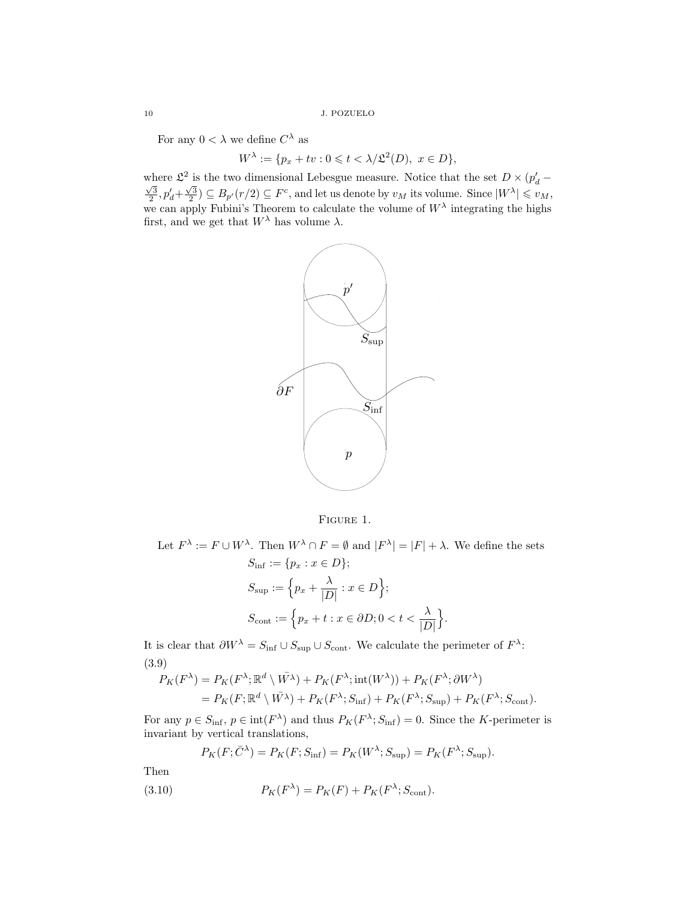For any  $0 < \lambda$  we define  $C^{\lambda}$  as

$$
W^{\lambda} := \{ p_x + tv : 0 \leqslant t < \lambda / \mathfrak{L}^2(D), \ x \in D \},\
$$

where  $\mathcal{L}^2$  is the two dimensional Lebesgue measure. Notice that the set  $D \times (p_d - \sqrt{2})$  $\frac{\sqrt{3}}{2}$ ,  $p'_d + \frac{\sqrt{3}}{2}$   $\subseteq$   $B_{p'}(r/2) \subseteq F^c$ , and let us denote by  $v_M$  its volume. Since  $|W^{\lambda}| \leq v_M$ , we can apply Fubini's Theorem to calculate the volume of  $W^{\lambda}$  integrating the highs first, and we get that  $W^{\lambda}$  has volume  $\lambda$ .



Figure 1.

Let  $F^{\lambda} := F \cup W^{\lambda}$ . Then  $W^{\lambda} \cap F = \emptyset$  and  $|F^{\lambda}| = |F| + \lambda$ . We define the sets  $S_{\text{inf}} := \{p_x : x \in D\};$  $S_{\mathrm{sup}} := \left\{ p_x + \frac{\lambda}{\sqrt{D}} \right\}$  $\frac{\lambda}{|D|}$ :  $x \in D$ ;  $S_{\text{cont}} := \left\{ p_x + t : x \in \partial D; 0 < t < \frac{\lambda}{|D|} \right\}$  $|D|$  $\big\}.$ 

It is clear that  $\partial W^{\lambda} = S_{\text{inf}} \cup S_{\text{sup}} \cup S_{\text{cont}}$ . We calculate the perimeter of  $F^{\lambda}$ : (3.9)

$$
P_K(F^{\lambda}) = P_K(F^{\lambda}; \mathbb{R}^d \setminus \bar{W^{\lambda}}) + P_K(F^{\lambda}; \text{int}(W^{\lambda})) + P_K(F^{\lambda}; \partial W^{\lambda})
$$
  
= 
$$
P_K(F; \mathbb{R}^d \setminus \bar{W^{\lambda}}) + P_K(F^{\lambda}; S_{\text{inf}}) + P_K(F^{\lambda}; S_{\text{sup}}) + P_K(F^{\lambda}; S_{\text{cont}}).
$$

For any  $p \in S_{\text{inf}}$ ,  $p \in \text{int}(F^{\lambda})$  and thus  $P_K(F^{\lambda}; S_{\text{inf}}) = 0$ . Since the K-perimeter is invariant by vertical translations,

<span id="page-9-0"></span>
$$
P_K(F; \bar{C}^{\lambda}) = P_K(F; S_{\text{inf}}) = P_K(W^{\lambda}; S_{\text{sup}}) = P_K(F^{\lambda}; S_{\text{sup}}).
$$

Then

(3.10) 
$$
P_K(F^{\lambda}) = P_K(F) + P_K(F^{\lambda}; S_{\text{cont}}).
$$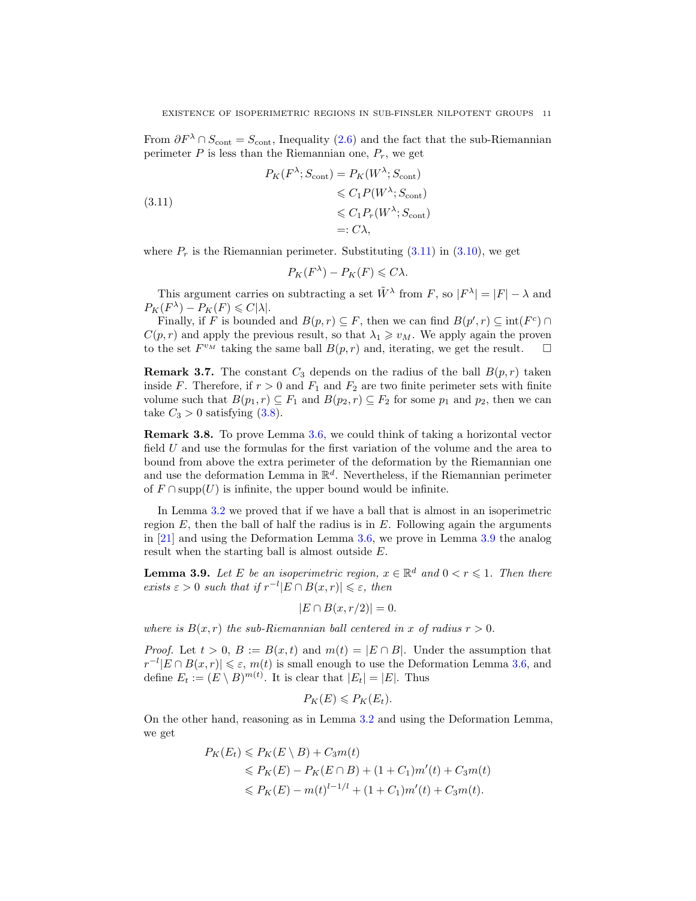From  $\partial F^{\lambda} \cap S_{\text{cont}} = S_{\text{cont}}$ , Inequality [\(2.6\)](#page-5-1) and the fact that the sub-Riemannian perimeter  $P$  is less than the Riemannian one,  $P_r$ , we get

<span id="page-10-0"></span>(3.11)  
\n
$$
P_K(F^{\lambda}; S_{\text{cont}}) = P_K(W^{\lambda}; S_{\text{cont}})
$$
\n
$$
\leq C_1 P(W^{\lambda}; S_{\text{cont}})
$$
\n
$$
\leq C_1 P_r(W^{\lambda}; S_{\text{cont}})
$$
\n
$$
=: C\lambda,
$$

where  $P_r$  is the Riemannian perimeter. Substituting  $(3.11)$  in  $(3.10)$ , we get

$$
P_K(F^{\lambda}) - P_K(F) \leqslant C\lambda.
$$

This argument carries on subtracting a set  $\tilde{W}^{\lambda}$  from F, so  $|F^{\lambda}| = |F| - \lambda$  and  $P_K(F^{\lambda}) - P_K(F) \leqslant C|\lambda|.$ 

Finally, if F is bounded and  $B(p, r) \subseteq F$ , then we can find  $B(p', r) \subseteq int(F^c) \cap$  $C(p, r)$  and apply the previous result, so that  $\lambda_1 \geq v_M$ . We apply again the proven to the set  $F^{v_M}$  taking the same ball  $B(p, r)$  and, iterating, we get the result.  $\square$ 

<span id="page-10-2"></span>**Remark 3.7.** The constant  $C_3$  depends on the radius of the ball  $B(p, r)$  taken inside F. Therefore, if  $r > 0$  and  $F_1$  and  $F_2$  are two finite perimeter sets with finite volume such that  $B(p_1, r) \subseteq F_1$  and  $B(p_2, r) \subseteq F_2$  for some  $p_1$  and  $p_2$ , then we can take  $C_3 > 0$  satisfying [\(3.8\)](#page-8-2).

Remark 3.8. To prove Lemma [3.6,](#page-8-0) we could think of taking a horizontal vector field U and use the formulas for the first variation of the volume and the area to bound from above the extra perimeter of the deformation by the Riemannian one and use the deformation Lemma in  $\mathbb{R}^d$ . Nevertheless, if the Riemannian perimeter of  $F \cap \text{supp}(U)$  is infinite, the upper bound would be infinite.

In Lemma [3.2](#page-7-7) we proved that if we have a ball that is almost in an isoperimetric region  $E$ , then the ball of half the radius is in  $E$ . Following again the arguments in [\[21\]](#page-16-14) and using the Deformation Lemma [3.6,](#page-8-0) we prove in Lemma [3.9](#page-10-1) the analog result when the starting ball is almost outside E.

<span id="page-10-1"></span>**Lemma 3.9.** Let E be an isoperimetric region,  $x \in \mathbb{R}^d$  and  $0 < r \leq 1$ . Then there exists  $\varepsilon > 0$  such that if  $r^{-l} |E \cap B(x,r)| \leqslant \varepsilon$ , then

$$
|E \cap B(x, r/2)| = 0.
$$

where is  $B(x, r)$  the sub-Riemannian ball centered in x of radius  $r > 0$ .

*Proof.* Let  $t > 0$ ,  $B := B(x, t)$  and  $m(t) = |E \cap B|$ . Under the assumption that  $|r^{-l} | E \cap B(x,r)| \leq \varepsilon$ ,  $m(t)$  is small enough to use the Deformation Lemma [3.6,](#page-8-0) and define  $E_t := (E \setminus B)^{m(t)}$ . It is clear that  $|E_t| = |E|$ . Thus

$$
P_K(E) \leqslant P_K(E_t).
$$

On the other hand, reasoning as in Lemma [3.2](#page-7-7) and using the Deformation Lemma, we get

$$
P_K(E_t) \leq P_K(E \setminus B) + C_3 m(t)
$$
  
\n
$$
\leq P_K(E) - P_K(E \cap B) + (1 + C_1) m'(t) + C_3 m(t)
$$
  
\n
$$
\leq P_K(E) - m(t)^{l-1/l} + (1 + C_1) m'(t) + C_3 m(t).
$$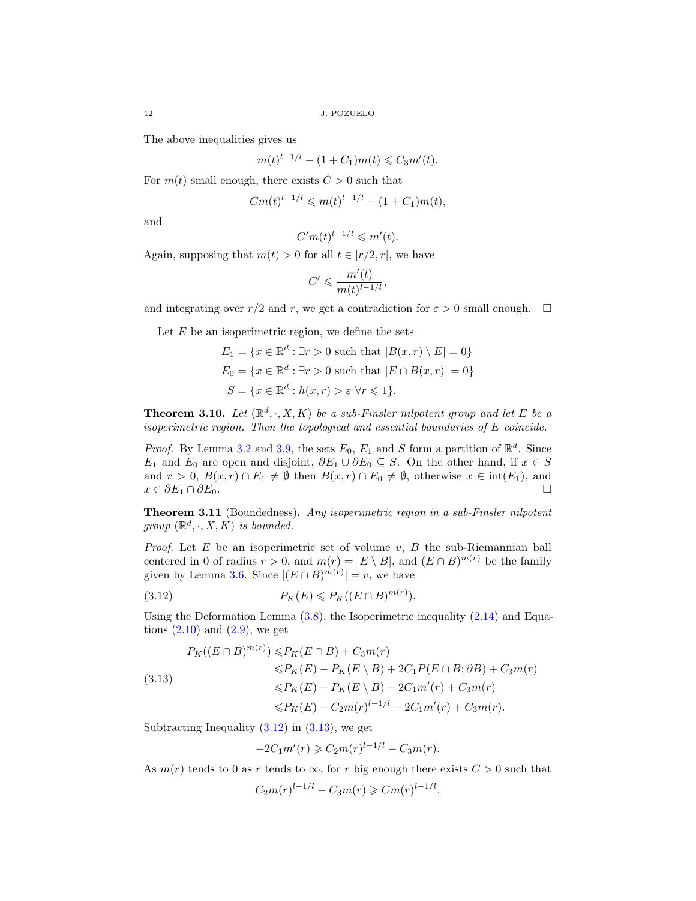The above inequalities gives us

$$
m(t)^{l-1/l} - (1 + C_1)m(t) \leq C_3m'(t).
$$

For  $m(t)$  small enough, there exists  $C > 0$  such that

$$
Cm(t)^{l-1/l} \leqslant m(t)^{l-1/l} - (1+C_1)m(t),
$$

and

$$
C'm(t)^{l-1/l} \leqslant m'(t).
$$

Again, supposing that  $m(t) > 0$  for all  $t \in [r/2, r]$ , we have

$$
C' \leqslant \frac{m'(t)}{m(t)^{l-1/l}},
$$

and integrating over r/2 and r, we get a contradiction for  $\varepsilon > 0$  small enough.  $\Box$ 

Let  $E$  be an isoperimetric region, we define the sets

$$
E_1 = \{x \in \mathbb{R}^d : \exists r > 0 \text{ such that } |B(x, r) \setminus E| = 0\}
$$
  
\n
$$
E_0 = \{x \in \mathbb{R}^d : \exists r > 0 \text{ such that } |E \cap B(x, r)| = 0\}
$$
  
\n
$$
S = \{x \in \mathbb{R}^d : h(x, r) > \varepsilon \forall r \le 1\}.
$$

<span id="page-11-1"></span>**Theorem 3.10.** Let  $(\mathbb{R}^d, \cdot, X, K)$  be a sub-Finsler nilpotent group and let E be a isoperimetric region. Then the topological and essential boundaries of E coincide.

*Proof.* By Lemma [3.2](#page-7-7) and [3.9,](#page-10-1) the sets  $E_0$ ,  $E_1$  and S form a partition of  $\mathbb{R}^d$ . Since  $E_1$  and  $E_0$  are open and disjoint,  $\partial E_1 \cup \partial E_0 \subseteq S$ . On the other hand, if  $x \in S$ and  $r > 0$ ,  $B(x,r) \cap E_1 \neq \emptyset$  then  $B(x,r) \cap E_0 \neq \emptyset$ , otherwise  $x \in \text{int}(E_1)$ , and  $x \in \partial E_1 \cap \partial E_0.$ 

<span id="page-11-0"></span>Theorem 3.11 (Boundedness). Any isoperimetric region in a sub-Finsler nilpotent group  $(\mathbb{R}^d, \cdot, X, K)$  is bounded.

*Proof.* Let  $E$  be an isoperimetric set of volume  $v$ ,  $B$  the sub-Riemannian ball centered in 0 of radius  $r > 0$ , and  $m(r) = |E \setminus B|$ , and  $(E \cap B)^{m(r)}$  be the family given by Lemma [3.6.](#page-8-0) Since  $|(E \cap B)^{m(r)}| = v$ , we have

<span id="page-11-2"></span>
$$
(3.12) \t\t P_K(E) \leqslant P_K((E \cap B)^{m(r)}).
$$

Using the Deformation Lemma  $(3.8)$ , the Isoperimetric inequality  $(2.14)$  and Equations  $(2.10)$  and  $(2.9)$ , we get

<span id="page-11-3"></span>
$$
P_K((E \cap B)^{m(r)}) \le P_K(E \cap B) + C_3 m(r)
$$
  
\n
$$
\le P_K(E) - P_K(E \setminus B) + 2C_1 P(E \cap B; \partial B) + C_3 m(r)
$$
  
\n
$$
\le P_K(E) - P_K(E \setminus B) - 2C_1 m'(r) + C_3 m(r)
$$
  
\n
$$
\le P_K(E) - C_2 m(r)^{l-1/l} - 2C_1 m'(r) + C_3 m(r).
$$

Subtracting Inequality  $(3.12)$  in  $(3.13)$ , we get

$$
-2C_1m'(r) \geqslant C_2m(r)^{l-1/l} - C_3m(r).
$$

As  $m(r)$  tends to 0 as r tends to  $\infty$ , for r big enough there exists  $C > 0$  such that

$$
C_2 m(r)^{l-1/l} - C_3 m(r) \geq C m(r)^{l-1/l}.
$$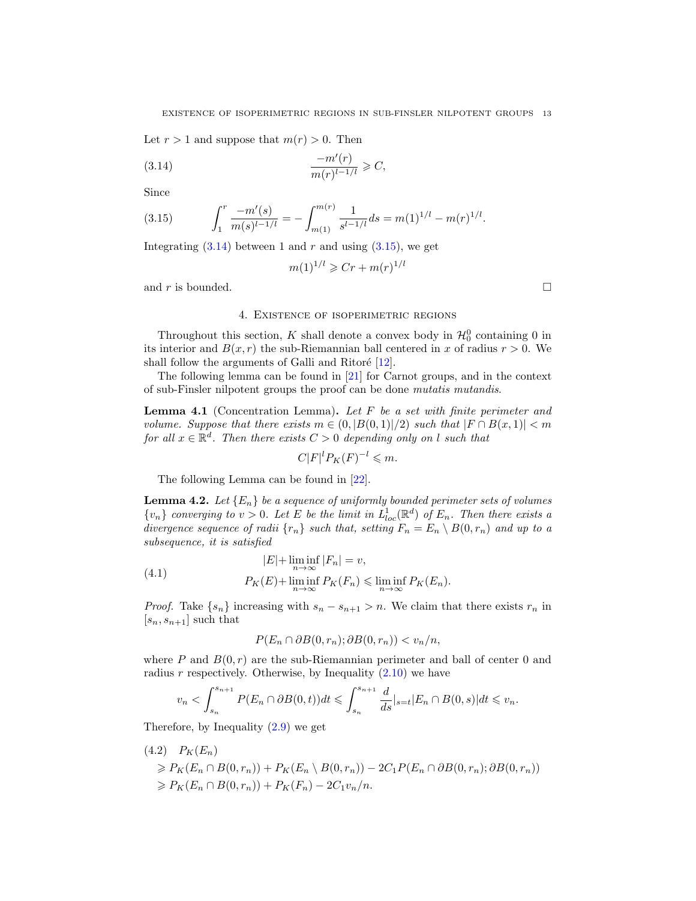Let  $r > 1$  and suppose that  $m(r) > 0$ . Then

$$
(3.14) \qquad \qquad \frac{-m'(r)}{m(r)^{l-1/l}} \geqslant C,
$$

Since

<span id="page-12-1"></span>(3.15) 
$$
\int_{1}^{r} \frac{-m'(s)}{m(s)^{l-1/l}} = -\int_{m(1)}^{m(r)} \frac{1}{s^{l-1/l}} ds = m(1)^{1/l} - m(r)^{1/l}.
$$

Integrating  $(3.14)$  between 1 and r and using  $(3.15)$ , we get

<span id="page-12-0"></span>
$$
m(1)^{1/l} \ge Cr + m(r)^{1/l}
$$

and r is bounded.  $\square$ 

#### 4. Existence of isoperimetric regions

Throughout this section, K shall denote a convex body in  $\mathcal{H}_0^0$  containing 0 in its interior and  $B(x, r)$  the sub-Riemannian ball centered in x of radius  $r > 0$ . We shall follow the arguments of Galli and Ritoré  $[12]$ .

The following lemma can be found in [\[21\]](#page-16-14) for Carnot groups, and in the context of sub-Finsler nilpotent groups the proof can be done mutatis mutandis.

<span id="page-12-4"></span>**Lemma 4.1** (Concentration Lemma). Let  $F$  be a set with finite perimeter and volume. Suppose that there exists  $m \in (0, |B(0,1)|/2)$  such that  $|F \cap B(x,1)| < m$ for all  $x \in \mathbb{R}^d$ . Then there exists  $C > 0$  depending only on l such that

$$
C|F|^l P_K(F)^{-l} \leqslant m.
$$

The following Lemma can be found in [\[22\]](#page-16-15).

<span id="page-12-3"></span>**Lemma 4.2.** Let  ${E_n}$  be a sequence of uniformly bounded perimeter sets of volumes  $\{v_n\}$  converging to  $v > 0$ . Let E be the limit in  $L^1_{loc}(\mathbb{R}^d)$  of  $E_n$ . Then there exists a divergence sequence of radii  $\{r_n\}$  such that, setting  $F_n = E_n \setminus B(0, r_n)$  and up to a subsequence, it is satisfied

(4.1) 
$$
|E| + \liminf_{n \to \infty} |F_n| = v,
$$

$$
P_K(E) + \liminf_{n \to \infty} P_K(F_n) \le \liminf_{n \to \infty} P_K(E_n).
$$

*Proof.* Take  $\{s_n\}$  increasing with  $s_n - s_{n+1} > n$ . We claim that there exists  $r_n$  in  $[s_n, s_{n+1}]$  such that

$$
P(E_n \cap \partial B(0, r_n); \partial B(0, r_n)) < v_n/n,
$$

where P and  $B(0, r)$  are the sub-Riemannian perimeter and ball of center 0 and radius  $r$  respectively. Otherwise, by Inequality  $(2.10)$  we have

$$
v_n < \int_{s_n}^{s_{n+1}} P(E_n \cap \partial B(0, t)) dt \leqslant \int_{s_n}^{s_{n+1}} \frac{d}{ds} \vert_{s=t} \vert E_n \cap B(0, s) \vert dt \leqslant v_n.
$$

Therefore, by Inequality [\(2.9\)](#page-5-4) we get

<span id="page-12-2"></span>
$$
(4.2) \quad P_K(E_n)
$$
  
\n
$$
\geq P_K(E_n \cap B(0,r_n)) + P_K(E_n \setminus B(0,r_n)) - 2C_1 P(E_n \cap \partial B(0,r_n); \partial B(0,r_n))
$$
  
\n
$$
\geq P_K(E_n \cap B(0,r_n)) + P_K(F_n) - 2C_1 v_n/n.
$$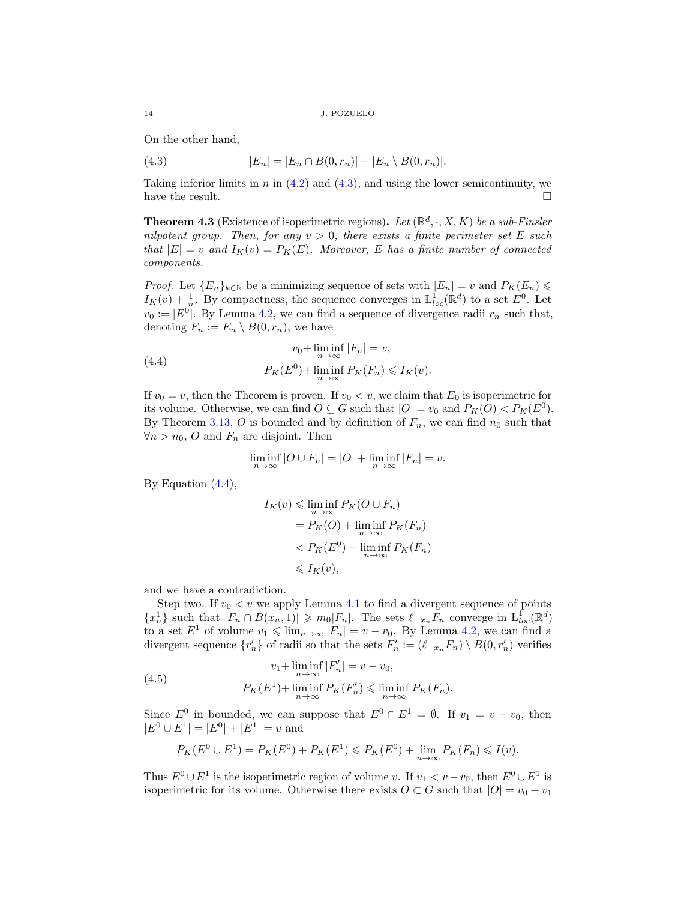On the other hand,

<span id="page-13-1"></span>(4.3) 
$$
|E_n| = |E_n \cap B(0, r_n)| + |E_n \setminus B(0, r_n)|.
$$

Taking inferior limits in n in  $(4.2)$  and  $(4.3)$ , and using the lower semicontinuity, we have the result.  $\Box$ 

<span id="page-13-0"></span>**Theorem 4.3** (Existence of isoperimetric regions). Let  $(\mathbb{R}^d, \cdot, X, K)$  be a sub-Finsler nilpotent group. Then, for any  $v > 0$ , there exists a finite perimeter set E such that  $|E| = v$  and  $I_K(v) = P_K(E)$ . Moreover, E has a finite number of connected components.

*Proof.* Let  ${E_n}_{k \in \mathbb{N}}$  be a minimizing sequence of sets with  $|E_n| = v$  and  $P_K(E_n) \le$  $I_K(v) + \frac{1}{n}$ . By compactness, the sequence converges in  $\mathcal{L}^1_{loc}(\mathbb{R}^d)$  to a set  $E^0$ . Let  $v_0 := |E^0|$ . By Lemma [4.2,](#page-12-3) we can find a sequence of divergence radii  $r_n$  such that, denoting  $F_n := E_n \setminus B(0, r_n)$ , we have

<span id="page-13-2"></span>(4.4) 
$$
v_0 + \liminf_{n \to \infty} |F_n| = v,
$$

$$
P_K(E^0) + \liminf_{n \to \infty} P_K(F_n) \leq I_K(v).
$$

If  $v_0 = v$ , then the Theorem is proven. If  $v_0 < v$ , we claim that  $E_0$  is isoperimetric for its volume. Otherwise, we can find  $O \subseteq G$  such that  $|O| = v_0$  and  $P_K(O) < P_K(E^0)$ . By Theorem [3.13,](#page-11-3) O is bounded and by definition of  $F_n$ , we can find  $n_0$  such that  $\forall n > n_0$ , O and  $F_n$  are disjoint. Then

$$
\liminf_{n \to \infty} |O \cup F_n| = |O| + \liminf_{n \to \infty} |F_n| = v.
$$

By Equation  $(4.4)$ ,

$$
I_K(v) \le \liminf_{n \to \infty} P_K(O \cup F_n)
$$
  
=  $P_K(O) + \liminf_{n \to \infty} P_K(F_n)$   
<  $P_K(E^0) + \liminf_{n \to \infty} P_K(F_n)$   
<  $I_K(v)$ ,

and we have a contradiction.

Step two. If  $v_0 < v$  we apply Lemma [4.1](#page-12-4) to find a divergent sequence of points  ${x_n}$  such that  $|F_n \cap B(x_n, 1)| \geq m_0 |F_n|$ . The sets  $\ell_{-x_n} F_n$  converge in  $L_{loc}^1(\mathbb{R}^d)$ to a set  $E^1$  of volume  $v_1 \leqslant \lim_{n \to \infty} |F_n| = v - v_0$ . By Lemma [4.2,](#page-12-3) we can find a divergent sequence  $\{r'_n\}$  of radii so that the sets  $F'_n := (\ell_{-x_n} F_n) \setminus B(0, r'_n)$  verifies

(4.5) 
$$
v_1 + \liminf_{n \to \infty} |F'_n| = v - v_0,
$$

$$
P_K(E^1) + \liminf_{n \to \infty} P_K(F'_n) \le \liminf_{n \to \infty} P_K(F_n).
$$

Since  $E^0$  in bounded, we can suppose that  $E^0 \cap E^1 = \emptyset$ . If  $v_1 = v - v_0$ , then  $|E^0 \cup E^1| = |E^0| + |E^1| = v$  and

$$
P_K(E^0 \cup E^1) = P_K(E^0) + P_K(E^1) \leq P_K(E^0) + \lim_{n \to \infty} P_K(F_n) \leq I(v).
$$

Thus  $E^0 \cup E^1$  is the isoperimetric region of volume v. If  $v_1 < v - v_0$ , then  $E^0 \cup E^1$  is isoperimetric for its volume. Otherwise there exists  $O \subset G$  such that  $|O| = v_0 + v_1$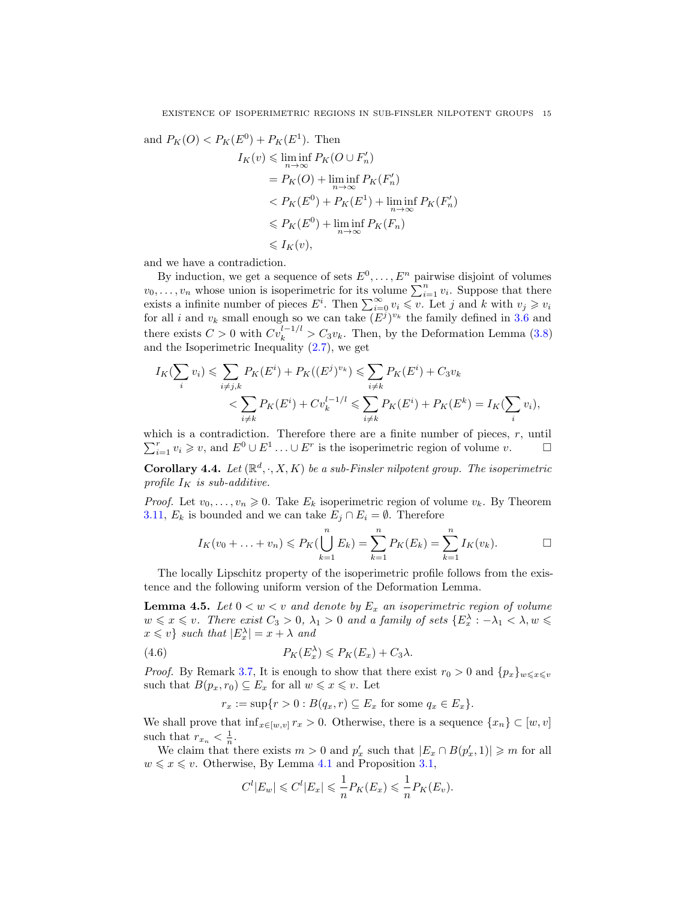and 
$$
P_K(O) < P_K(E^0) + P_K(E^1)
$$
. Then  
\n
$$
I_K(v) \leq \liminf_{n \to \infty} P_K(O \cup F'_n)
$$
\n
$$
= P_K(O) + \liminf_{n \to \infty} P_K(F'_n)
$$
\n
$$
< P_K(E^0) + P_K(E^1) + \liminf_{n \to \infty} P_K(F'_n)
$$
\n
$$
\leq P_K(E^0) + \liminf_{n \to \infty} P_K(F_n)
$$
\n
$$
\leq I_K(v),
$$

and we have a contradiction.

By induction, we get a sequence of sets  $E^0, \ldots, E^n$  pairwise disjoint of volumes  $v_0, \ldots, v_n$  whose union is isoperimetric for its volume  $\sum_{i=1}^n v_i$ . Suppose that there exists a infinite number of pieces  $E^i$ . Then  $\sum_{i=0}^{\infty} v_i \leq v$ . Let j and k with  $v_j \geq v_i$ for all i and  $v_k$  small enough so we can take  $(E^{j})^{v_k}$  the family defined in [3.6](#page-8-0) and there exists  $C > 0$  with  $Cv_k^{l-1/l} > C_3v_k$ . Then, by the Deformation Lemma [\(3.8\)](#page-8-2) and the Isoperimetric Inequality [\(2.7\)](#page-6-3), we get

$$
I_K(\sum_i v_i) \leq \sum_{i \neq j,k} P_K(E^i) + P_K((E^j)^{v_k}) \leq \sum_{i \neq k} P_K(E^i) + C_3 v_k
$$
  

$$
< \sum_{i \neq k} P_K(E^i) + C v_k^{l-1/l} \leq \sum_{i \neq k} P_K(E^i) + P_K(E^k) = I_K(\sum_i v_i),
$$

which is a contradiction. Therefore there are a finite number of pieces,  $r$ , until  $\sum_{i=1}^r v_i \geq v$ , and  $E^0 \cup E^1 \dots \cup E^r$  is the isoperimetric region of volume  $v$ .

<span id="page-14-0"></span>**Corollary 4.4.** Let  $(\mathbb{R}^d, \cdot, X, K)$  be a sub-Finsler nilpotent group. The isoperimetric profile  $I_K$  is sub-additive.

*Proof.* Let  $v_0, \ldots, v_n \geq 0$ . Take  $E_k$  isoperimetric region of volume  $v_k$ . By Theorem [3.11,](#page-11-0)  $E_k$  is bounded and we can take  $E_j \cap E_i = \emptyset$ . Therefore

$$
I_K(v_0 + \ldots + v_n) \leq P_K(\bigcup_{k=1}^n E_k) = \sum_{k=1}^n P_K(E_k) = \sum_{k=1}^n I_K(v_k).
$$

The locally Lipschitz property of the isoperimetric profile follows from the existence and the following uniform version of the Deformation Lemma.

<span id="page-14-1"></span>**Lemma 4.5.** Let  $0 < w < v$  and denote by  $E_x$  an isoperimetric region of volume  $w \leqslant x \leqslant v$ . There exist  $C_3 > 0$ ,  $\lambda_1 > 0$  and a family of sets  $\{E_x^{\lambda} : -\lambda_1 < \lambda, w \leqslant \lambda\}$  $x \leqslant v$  such that  $|E_x^{\lambda}| = x + \lambda$  and

(4.6) 
$$
P_K(E_x^{\lambda}) \leqslant P_K(E_x) + C_3 \lambda.
$$

*Proof.* By Remark [3.7,](#page-10-2) It is enough to show that there exist  $r_0 > 0$  and  $\{p_x\}_{w \leq x \leq v}$ such that  $B(p_x, r_0) \subseteq E_x$  for all  $w \leq x \leq v$ . Let

<span id="page-14-2"></span>
$$
r_x := \sup\{r > 0 : B(q_x, r) \subseteq E_x \text{ for some } q_x \in E_x\}.
$$

We shall prove that  $\inf_{x \in [w,v]} r_x > 0$ . Otherwise, there is a sequence  $\{x_n\} \subset [w,v]$ such that  $r_{x_n} < \frac{1}{n}$ .

We claim that there exists  $m > 0$  and  $p'_x$  such that  $|E_x \cap B(p'_x, 1)| \geq m$  for all  $w \leqslant x \leqslant v$ . Otherwise, By Lemma [4.1](#page-12-4) and Proposition [3.1,](#page-7-0)

$$
C^l |E_w| \leqslant C^l |E_x| \leqslant \frac{1}{n} P_K(E_x) \leqslant \frac{1}{n} P_K(E_v).
$$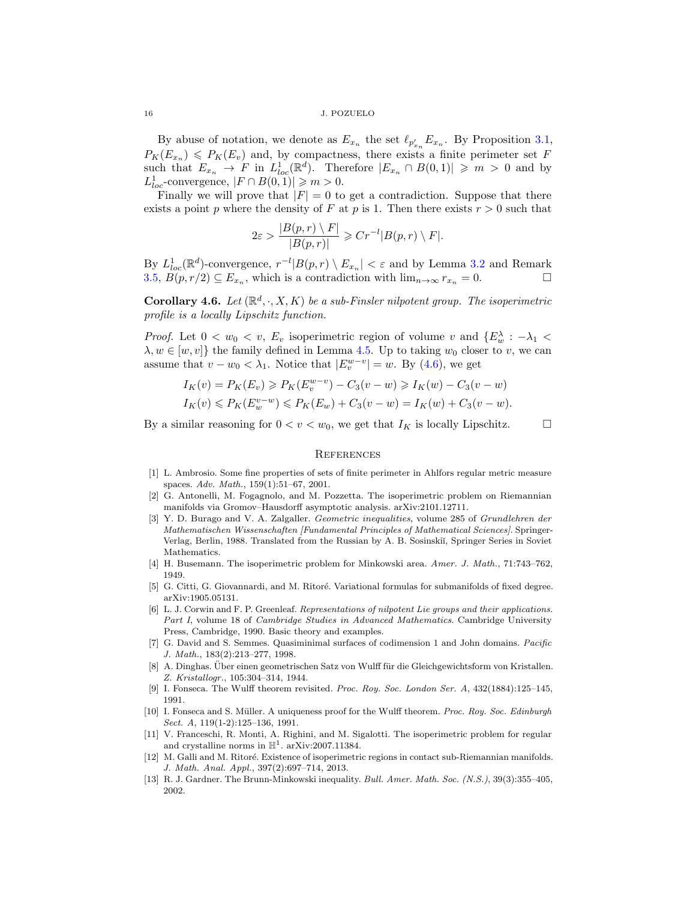16 J. POZUELO

By abuse of notation, we denote as  $E_{x_n}$  the set  $\ell_{p'_{x_n}} E_{x_n}$ . By Proposition [3.1,](#page-7-0)  $P_K(E_{x_n}) \leq P_K(E_v)$  and, by compactness, there exists a finite perimeter set F such that  $E_{x_n} \to F$  in  $L^1_{loc}(\mathbb{R}^d)$ . Therefore  $|E_{x_n} \cap B(0,1)| \geq m > 0$  and by  $L_{loc}^1$ -convergence,  $|F \cap B(0, 1)| \geq m > 0$ .

Finally we will prove that  $|F| = 0$  to get a contradiction. Suppose that there exists a point p where the density of F at p is 1. Then there exists  $r > 0$  such that

$$
2\varepsilon > \frac{|B(p,r) \setminus F|}{|B(p,r)|} \geqslant Cr^{-l}|B(p,r) \setminus F|.
$$

By  $L^1_{loc}(\mathbb{R}^d)$ -convergence,  $r^{-l}|B(p,r)\setminus E_{x_n}| < \varepsilon$  and by Lemma [3.2](#page-7-7) and Remark [3.5,](#page-8-3)  $\widetilde{B}(p,r/2) \subseteq E_{x_n}$ , which is a contradiction with  $\lim_{n \to \infty} r_{x_n} = 0$ .

<span id="page-15-10"></span>**Corollary 4.6.** Let  $(\mathbb{R}^d, \cdot, X, K)$  be a sub-Finsler nilpotent group. The isoperimetric profile is a locally Lipschitz function.

*Proof.* Let  $0 < w_0 < v$ ,  $E_v$  isoperimetric region of volume v and  $\{E_w^{\lambda} : -\lambda_1 <$  $\lambda, w \in [w, v]$  the family defined in Lemma [4.5.](#page-14-1) Up to taking  $w_0$  closer to v, we can assume that  $v - w_0 < \lambda_1$ . Notice that  $|E_v^{w-v}| = w$ . By [\(4.6\)](#page-14-2), we get

$$
I_K(v) = P_K(E_v) \ge P_K(E_v^{w-v}) - C_3(v-w) \ge I_K(w) - C_3(v-w)
$$
  
\n
$$
I_K(v) \le P_K(E_v^{v-w}) \le P_K(E_w) + C_3(v-w) = I_K(w) + C_3(v-w).
$$

By a similar reasoning for  $0 < v < w_0$ , we get that  $I_K$  is locally Lipschitz.  $\Box$ 

### **REFERENCES**

- <span id="page-15-12"></span>[1] L. Ambrosio. Some fine properties of sets of finite perimeter in Ahlfors regular metric measure spaces. Adv. Math., 159(1):51–67, 2001.
- <span id="page-15-8"></span>[2] G. Antonelli, M. Fogagnolo, and M. Pozzetta. The isoperimetric problem on Riemannian manifolds via Gromov–Hausdorff asymptotic analysis. arXiv:2101.12711.
- <span id="page-15-5"></span>[3] Y. D. Burago and V. A. Zalgaller. Geometric inequalities, volume 285 of Grundlehren der Mathematischen Wissenschaften [Fundamental Principles of Mathematical Sciences]. Springer-Verlag, Berlin, 1988. Translated from the Russian by A. B. Sosinski˘ı, Springer Series in Soviet Mathematics.
- <span id="page-15-1"></span>[4] H. Busemann. The isoperimetric problem for Minkowski area. Amer. J. Math., 71:743–762, 1949.
- <span id="page-15-7"></span>[5] G. Citti, G. Giovannardi, and M. Ritoré. Variational formulas for submanifolds of fixed degree. arXiv:1905.05131.
- <span id="page-15-11"></span>[6] L. J. Corwin and F. P. Greenleaf. Representations of nilpotent Lie groups and their applications. Part I, volume 18 of Cambridge Studies in Advanced Mathematics. Cambridge University Press, Cambridge, 1990. Basic theory and examples.
- <span id="page-15-13"></span>[7] G. David and S. Semmes. Quasiminimal surfaces of codimension 1 and John domains. Pacific J. Math., 183(2):213–277, 1998.
- <span id="page-15-0"></span>[8] A. Dinghas. Über einen geometrischen Satz von Wulff für die Gleichgewichtsform von Kristallen. Z. Kristallogr., 105:304–314, 1944.
- <span id="page-15-2"></span>[9] I. Fonseca. The Wulff theorem revisited. Proc. Roy. Soc. London Ser. A, 432(1884):125–145, 1991.
- <span id="page-15-3"></span>[10] I. Fonseca and S. Müller. A uniqueness proof for the Wulff theorem. Proc. Roy. Soc. Edinburgh Sect. A, 119(1-2):125–136, 1991.
- <span id="page-15-6"></span>[11] V. Franceschi, R. Monti, A. Righini, and M. Sigalotti. The isoperimetric problem for regular and crystalline norms in  $\mathbb{H}^1$ . arXiv:2007.11384.
- <span id="page-15-9"></span>[12] M. Galli and M. Ritoré. Existence of isoperimetric regions in contact sub-Riemannian manifolds. J. Math. Anal. Appl., 397(2):697–714, 2013.
- <span id="page-15-4"></span>[13] R. J. Gardner. The Brunn-Minkowski inequality. Bull. Amer. Math. Soc. (N.S.), 39(3):355–405, 2002.